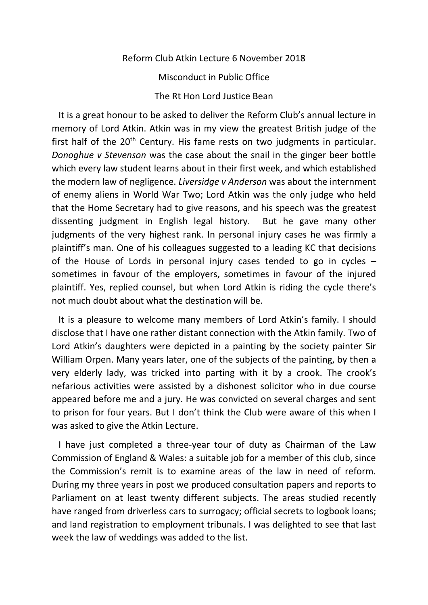Reform Club Atkin Lecture 6 November 2018 Misconduct in Public Office The Rt Hon Lord Justice Bean

 It is a great honour to be asked to deliver the Reform Club's annual lecture in memory of Lord Atkin. Atkin was in my view the greatest British judge of the first half of the  $20<sup>th</sup>$  Century. His fame rests on two judgments in particular. *Donoghue v Stevenson* was the case about the snail in the ginger beer bottle which every law student learns about in their first week, and which established the modern law of negligence. *Liversidge v Anderson* was about the internment of enemy aliens in World War Two; Lord Atkin was the only judge who held that the Home Secretary had to give reasons, and his speech was the greatest dissenting judgment in English legal history. But he gave many other judgments of the very highest rank. In personal injury cases he was firmly a plaintiff's man. One of his colleagues suggested to a leading KC that decisions of the House of Lords in personal injury cases tended to go in cycles – sometimes in favour of the employers, sometimes in favour of the injured plaintiff. Yes, replied counsel, but when Lord Atkin is riding the cycle there's not much doubt about what the destination will be.

 It is a pleasure to welcome many members of Lord Atkin's family. I should disclose that I have one rather distant connection with the Atkin family. Two of Lord Atkin's daughters were depicted in a painting by the society painter Sir William Orpen. Many years later, one of the subjects of the painting, by then a very elderly lady, was tricked into parting with it by a crook. The crook's nefarious activities were assisted by a dishonest solicitor who in due course appeared before me and a jury. He was convicted on several charges and sent to prison for four years. But I don't think the Club were aware of this when I was asked to give the Atkin Lecture.

 I have just completed a three-year tour of duty as Chairman of the Law Commission of England & Wales: a suitable job for a member of this club, since the Commission's remit is to examine areas of the law in need of reform. During my three years in post we produced consultation papers and reports to Parliament on at least twenty different subjects. The areas studied recently have ranged from driverless cars to surrogacy; official secrets to logbook loans; and land registration to employment tribunals. I was delighted to see that last week the law of weddings was added to the list.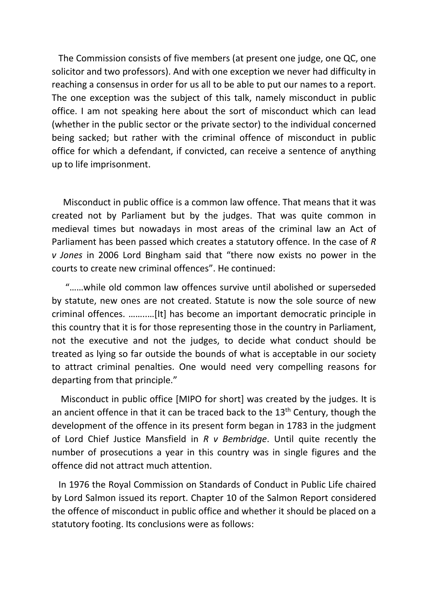The Commission consists of five members (at present one judge, one QC, one solicitor and two professors). And with one exception we never had difficulty in reaching a consensus in order for us all to be able to put our names to a report. The one exception was the subject of this talk, namely misconduct in public office. I am not speaking here about the sort of misconduct which can lead (whether in the public sector or the private sector) to the individual concerned being sacked; but rather with the criminal offence of misconduct in public office for which a defendant, if convicted, can receive a sentence of anything up to life imprisonment.

 Misconduct in public office is a common law offence. That means that it was created not by Parliament but by the judges. That was quite common in medieval times but nowadays in most areas of the criminal law an Act of Parliament has been passed which creates a statutory offence. In the case of *R v Jones* in 2006 Lord Bingham said that "there now exists no power in the courts to create new criminal offences". He continued:

 "……while old common law offences survive until abolished or superseded by statute, new ones are not created. Statute is now the sole source of new criminal offences. ……..…[It] has become an important democratic principle in this country that it is for those representing those in the country in Parliament, not the executive and not the judges, to decide what conduct should be treated as lying so far outside the bounds of what is acceptable in our society to attract criminal penalties. One would need very compelling reasons for departing from that principle."

 Misconduct in public office [MIPO for short] was created by the judges. It is an ancient offence in that it can be traced back to the  $13<sup>th</sup>$  Century, though the development of the offence in its present form began in 1783 in the judgment of Lord Chief Justice Mansfield in *R v Bembridge*. Until quite recently the number of prosecutions a year in this country was in single figures and the offence did not attract much attention.

 In 1976 the Royal Commission on Standards of Conduct in Public Life chaired by Lord Salmon issued its report. Chapter 10 of the Salmon Report considered the offence of misconduct in public office and whether it should be placed on a statutory footing. Its conclusions were as follows: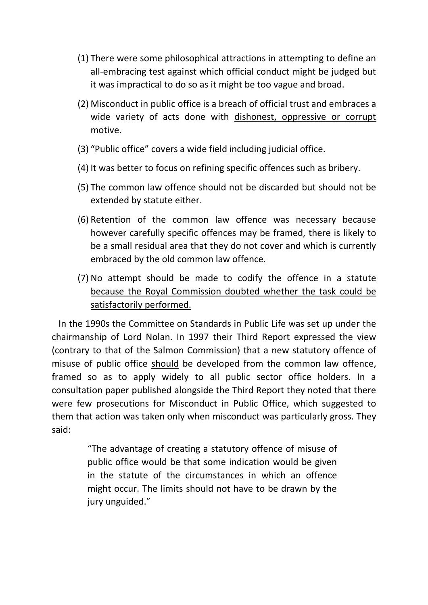- (1) There were some philosophical attractions in attempting to define an all-embracing test against which official conduct might be judged but it was impractical to do so as it might be too vague and broad.
- (2) Misconduct in public office is a breach of official trust and embraces a wide variety of acts done with dishonest, oppressive or corrupt motive.
- (3) "Public office" covers a wide field including judicial office.
- (4) It was better to focus on refining specific offences such as bribery.
- (5) The common law offence should not be discarded but should not be extended by statute either.
- (6) Retention of the common law offence was necessary because however carefully specific offences may be framed, there is likely to be a small residual area that they do not cover and which is currently embraced by the old common law offence.
- (7) No attempt should be made to codify the offence in a statute because the Royal Commission doubted whether the task could be satisfactorily performed.

 In the 1990s the Committee on Standards in Public Life was set up under the chairmanship of Lord Nolan. In 1997 their Third Report expressed the view (contrary to that of the Salmon Commission) that a new statutory offence of misuse of public office should be developed from the common law offence, framed so as to apply widely to all public sector office holders. In a consultation paper published alongside the Third Report they noted that there were few prosecutions for Misconduct in Public Office, which suggested to them that action was taken only when misconduct was particularly gross. They said:

> "The advantage of creating a statutory offence of misuse of public office would be that some indication would be given in the statute of the circumstances in which an offence might occur. The limits should not have to be drawn by the jury unguided."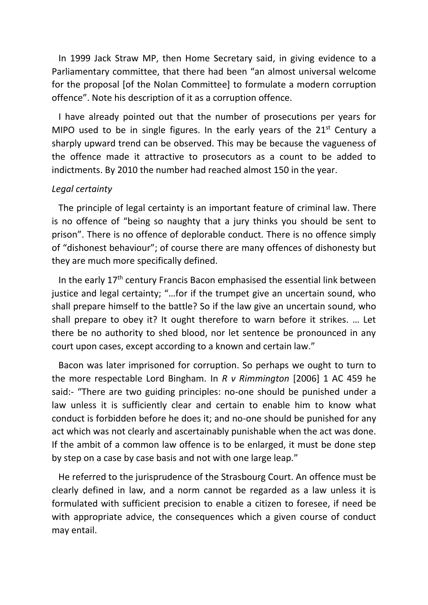In 1999 Jack Straw MP, then Home Secretary said, in giving evidence to a Parliamentary committee, that there had been "an almost universal welcome for the proposal [of the Nolan Committee] to formulate a modern corruption offence". Note his description of it as a corruption offence.

 I have already pointed out that the number of prosecutions per years for MIPO used to be in single figures. In the early years of the  $21<sup>st</sup>$  Century a sharply upward trend can be observed. This may be because the vagueness of the offence made it attractive to prosecutors as a count to be added to indictments. By 2010 the number had reached almost 150 in the year.

#### *Legal certainty*

 The principle of legal certainty is an important feature of criminal law. There is no offence of "being so naughty that a jury thinks you should be sent to prison". There is no offence of deplorable conduct. There is no offence simply of "dishonest behaviour"; of course there are many offences of dishonesty but they are much more specifically defined.

In the early 17<sup>th</sup> century Francis Bacon emphasised the essential link between justice and legal certainty; "…for if the trumpet give an uncertain sound, who shall prepare himself to the battle? So if the law give an uncertain sound, who shall prepare to obey it? It ought therefore to warn before it strikes. … Let there be no authority to shed blood, nor let sentence be pronounced in any court upon cases, except according to a known and certain law."

 Bacon was later imprisoned for corruption. So perhaps we ought to turn to the more respectable Lord Bingham. In *R v Rimmington* [2006] 1 AC 459 he said:- "There are two guiding principles: no-one should be punished under a law unless it is sufficiently clear and certain to enable him to know what conduct is forbidden before he does it; and no-one should be punished for any act which was not clearly and ascertainably punishable when the act was done. If the ambit of a common law offence is to be enlarged, it must be done step by step on a case by case basis and not with one large leap."

 He referred to the jurisprudence of the Strasbourg Court. An offence must be clearly defined in law, and a norm cannot be regarded as a law unless it is formulated with sufficient precision to enable a citizen to foresee, if need be with appropriate advice, the consequences which a given course of conduct may entail.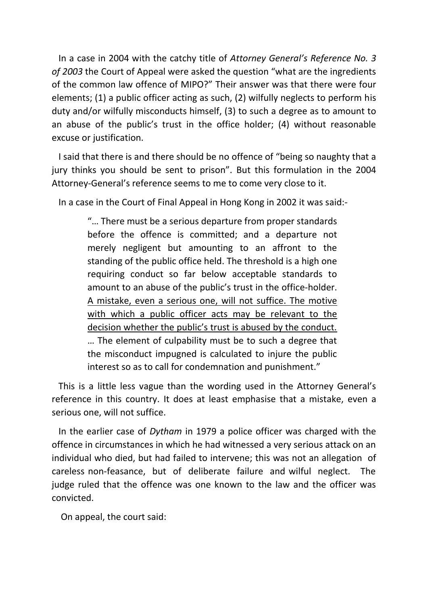In a case in 2004 with the catchy title of *Attorney General's Reference No. 3 of 2003* the Court of Appeal were asked the question "what are the ingredients of the common law offence of MIPO?" Their answer was that there were four elements; (1) a public officer acting as such, (2) wilfully neglects to perform his duty and/or wilfully misconducts himself, (3) to such a degree as to amount to an abuse of the public's trust in the office holder; (4) without reasonable excuse or justification.

 I said that there is and there should be no offence of "being so naughty that a jury thinks you should be sent to prison". But this formulation in the 2004 Attorney-General's reference seems to me to come very close to it.

In a case in the Court of Final Appeal in Hong Kong in 2002 it was said:-

"… There must be a serious departure from proper standards before the offence is committed; and a departure not merely negligent but amounting to an affront to the standing of the public office held. The threshold is a high one requiring conduct so far below acceptable standards to amount to an abuse of the public's trust in the office-holder. A mistake, even a serious one, will not suffice. The motive with which a public officer acts may be relevant to the decision whether the public's trust is abused by the conduct. … The element of culpability must be to such a degree that the misconduct impugned is calculated to injure the public interest so as to call for condemnation and punishment."

 This is a little less vague than the wording used in the Attorney General's reference in this country. It does at least emphasise that a mistake, even a serious one, will not suffice.

 In the earlier case of *Dytham* in 1979 a police officer was charged with the offence in circumstances in which he had witnessed a very serious attack on an individual who died, but had failed to intervene; this was not an allegation of careless non-feasance, but of deliberate failure and wilful neglect. The judge ruled that the offence was one known to the law and the officer was convicted.

On appeal, the court said: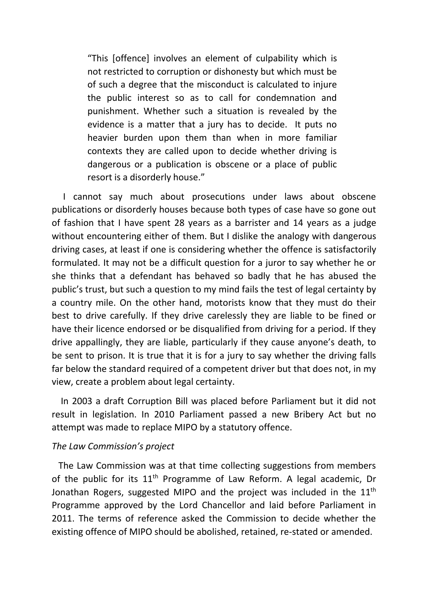"This [offence] involves an element of culpability which is not restricted to corruption or dishonesty but which must be of such a degree that the misconduct is calculated to injure the public interest so as to call for condemnation and punishment. Whether such a situation is revealed by the evidence is a matter that a jury has to decide. It puts no heavier burden upon them than when in more familiar contexts they are called upon to decide whether driving is dangerous or a publication is obscene or a place of public resort is a disorderly house."

 I cannot say much about prosecutions under laws about obscene publications or disorderly houses because both types of case have so gone out of fashion that I have spent 28 years as a barrister and 14 years as a judge without encountering either of them. But I dislike the analogy with dangerous driving cases, at least if one is considering whether the offence is satisfactorily formulated. It may not be a difficult question for a juror to say whether he or she thinks that a defendant has behaved so badly that he has abused the public's trust, but such a question to my mind fails the test of legal certainty by a country mile. On the other hand, motorists know that they must do their best to drive carefully. If they drive carelessly they are liable to be fined or have their licence endorsed or be disqualified from driving for a period. If they drive appallingly, they are liable, particularly if they cause anyone's death, to be sent to prison. It is true that it is for a jury to say whether the driving falls far below the standard required of a competent driver but that does not, in my view, create a problem about legal certainty.

 In 2003 a draft Corruption Bill was placed before Parliament but it did not result in legislation. In 2010 Parliament passed a new Bribery Act but no attempt was made to replace MIPO by a statutory offence.

#### *The Law Commission's project*

 The Law Commission was at that time collecting suggestions from members of the public for its  $11<sup>th</sup>$  Programme of Law Reform. A legal academic, Dr Jonathan Rogers, suggested MIPO and the project was included in the  $11^{\text{th}}$ Programme approved by the Lord Chancellor and laid before Parliament in 2011. The terms of reference asked the Commission to decide whether the existing offence of MIPO should be abolished, retained, re-stated or amended.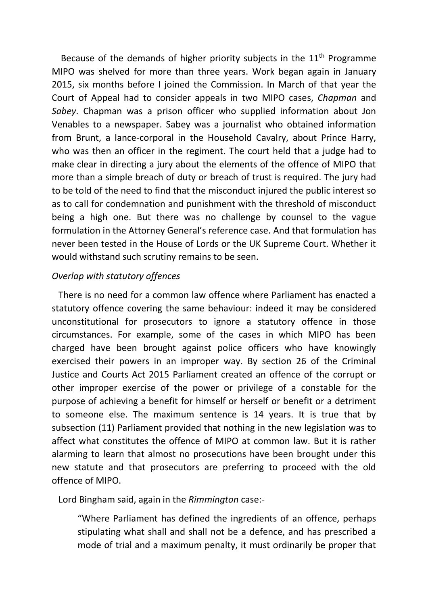Because of the demands of higher priority subjects in the  $11<sup>th</sup>$  Programme MIPO was shelved for more than three years. Work began again in January 2015, six months before I joined the Commission. In March of that year the Court of Appeal had to consider appeals in two MIPO cases, *Chapman* and *Sabey*. Chapman was a prison officer who supplied information about Jon Venables to a newspaper. Sabey was a journalist who obtained information from Brunt, a lance-corporal in the Household Cavalry, about Prince Harry, who was then an officer in the regiment. The court held that a judge had to make clear in directing a jury about the elements of the offence of MIPO that more than a simple breach of duty or breach of trust is required. The jury had to be told of the need to find that the misconduct injured the public interest so as to call for condemnation and punishment with the threshold of misconduct being a high one. But there was no challenge by counsel to the vague formulation in the Attorney General's reference case. And that formulation has never been tested in the House of Lords or the UK Supreme Court. Whether it would withstand such scrutiny remains to be seen.

# *Overlap with statutory offences*

 There is no need for a common law offence where Parliament has enacted a statutory offence covering the same behaviour: indeed it may be considered unconstitutional for prosecutors to ignore a statutory offence in those circumstances. For example, some of the cases in which MIPO has been charged have been brought against police officers who have knowingly exercised their powers in an improper way. By section 26 of the Criminal Justice and Courts Act 2015 Parliament created an offence of the corrupt or other improper exercise of the power or privilege of a constable for the purpose of achieving a benefit for himself or herself or benefit or a detriment to someone else. The maximum sentence is 14 years. It is true that by subsection (11) Parliament provided that nothing in the new legislation was to affect what constitutes the offence of MIPO at common law. But it is rather alarming to learn that almost no prosecutions have been brought under this new statute and that prosecutors are preferring to proceed with the old offence of MIPO.

Lord Bingham said, again in the *Rimmington* case:-

"Where Parliament has defined the ingredients of an offence, perhaps stipulating what shall and shall not be a defence, and has prescribed a mode of trial and a maximum penalty, it must ordinarily be proper that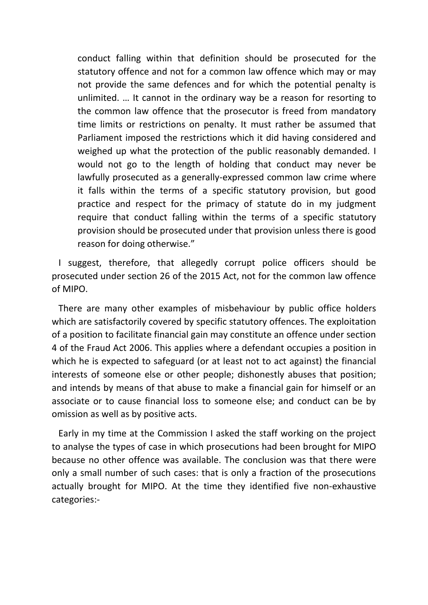conduct falling within that definition should be prosecuted for the statutory offence and not for a common law offence which may or may not provide the same defences and for which the potential penalty is unlimited. … It cannot in the ordinary way be a reason for resorting to the common law offence that the prosecutor is freed from mandatory time limits or restrictions on penalty. It must rather be assumed that Parliament imposed the restrictions which it did having considered and weighed up what the protection of the public reasonably demanded. I would not go to the length of holding that conduct may never be lawfully prosecuted as a generally-expressed common law crime where it falls within the terms of a specific statutory provision, but good practice and respect for the primacy of statute do in my judgment require that conduct falling within the terms of a specific statutory provision should be prosecuted under that provision unless there is good reason for doing otherwise."

 I suggest, therefore, that allegedly corrupt police officers should be prosecuted under section 26 of the 2015 Act, not for the common law offence of MIPO.

 There are many other examples of misbehaviour by public office holders which are satisfactorily covered by specific statutory offences. The exploitation of a position to facilitate financial gain may constitute an offence under section 4 of the Fraud Act 2006. This applies where a defendant occupies a position in which he is expected to safeguard (or at least not to act against) the financial interests of someone else or other people; dishonestly abuses that position; and intends by means of that abuse to make a financial gain for himself or an associate or to cause financial loss to someone else; and conduct can be by omission as well as by positive acts.

 Early in my time at the Commission I asked the staff working on the project to analyse the types of case in which prosecutions had been brought for MIPO because no other offence was available. The conclusion was that there were only a small number of such cases: that is only a fraction of the prosecutions actually brought for MIPO. At the time they identified five non-exhaustive categories:-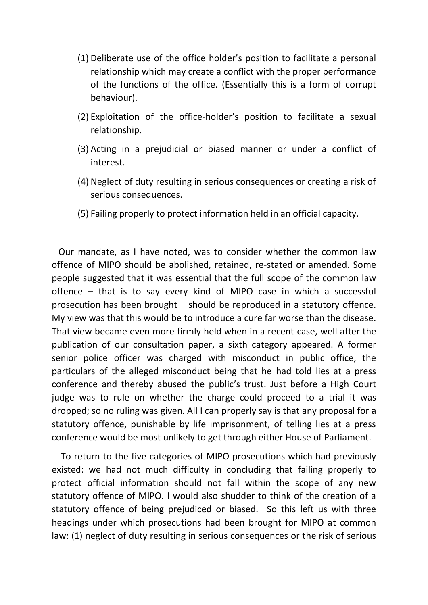- (1) Deliberate use of the office holder's position to facilitate a personal relationship which may create a conflict with the proper performance of the functions of the office. (Essentially this is a form of corrupt behaviour).
- (2) Exploitation of the office-holder's position to facilitate a sexual relationship.
- (3) Acting in a prejudicial or biased manner or under a conflict of interest.
- (4) Neglect of duty resulting in serious consequences or creating a risk of serious consequences.
- (5) Failing properly to protect information held in an official capacity.

 Our mandate, as I have noted, was to consider whether the common law offence of MIPO should be abolished, retained, re-stated or amended. Some people suggested that it was essential that the full scope of the common law offence – that is to say every kind of MIPO case in which a successful prosecution has been brought – should be reproduced in a statutory offence. My view was that this would be to introduce a cure far worse than the disease. That view became even more firmly held when in a recent case, well after the publication of our consultation paper, a sixth category appeared. A former senior police officer was charged with misconduct in public office, the particulars of the alleged misconduct being that he had told lies at a press conference and thereby abused the public's trust. Just before a High Court judge was to rule on whether the charge could proceed to a trial it was dropped; so no ruling was given. All I can properly say is that any proposal for a statutory offence, punishable by life imprisonment, of telling lies at a press conference would be most unlikely to get through either House of Parliament.

 To return to the five categories of MIPO prosecutions which had previously existed: we had not much difficulty in concluding that failing properly to protect official information should not fall within the scope of any new statutory offence of MIPO. I would also shudder to think of the creation of a statutory offence of being prejudiced or biased. So this left us with three headings under which prosecutions had been brought for MIPO at common law: (1) neglect of duty resulting in serious consequences or the risk of serious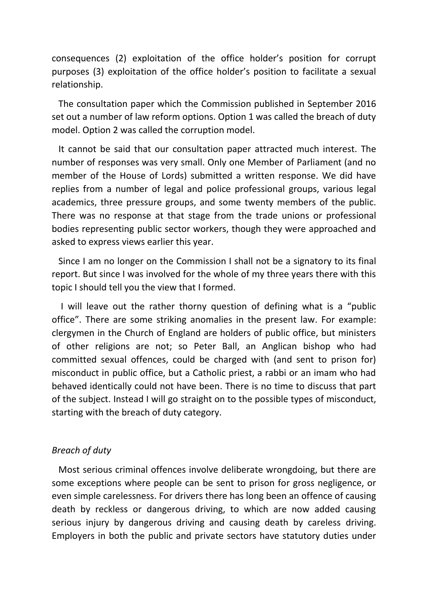consequences (2) exploitation of the office holder's position for corrupt purposes (3) exploitation of the office holder's position to facilitate a sexual relationship.

 The consultation paper which the Commission published in September 2016 set out a number of law reform options. Option 1 was called the breach of duty model. Option 2 was called the corruption model.

 It cannot be said that our consultation paper attracted much interest. The number of responses was very small. Only one Member of Parliament (and no member of the House of Lords) submitted a written response. We did have replies from a number of legal and police professional groups, various legal academics, three pressure groups, and some twenty members of the public. There was no response at that stage from the trade unions or professional bodies representing public sector workers, though they were approached and asked to express views earlier this year.

 Since I am no longer on the Commission I shall not be a signatory to its final report. But since I was involved for the whole of my three years there with this topic I should tell you the view that I formed.

 I will leave out the rather thorny question of defining what is a "public office". There are some striking anomalies in the present law. For example: clergymen in the Church of England are holders of public office, but ministers of other religions are not; so Peter Ball, an Anglican bishop who had committed sexual offences, could be charged with (and sent to prison for) misconduct in public office, but a Catholic priest, a rabbi or an imam who had behaved identically could not have been. There is no time to discuss that part of the subject. Instead I will go straight on to the possible types of misconduct, starting with the breach of duty category.

### *Breach of duty*

 Most serious criminal offences involve deliberate wrongdoing, but there are some exceptions where people can be sent to prison for gross negligence, or even simple carelessness. For drivers there has long been an offence of causing death by reckless or dangerous driving, to which are now added causing serious injury by dangerous driving and causing death by careless driving. Employers in both the public and private sectors have statutory duties under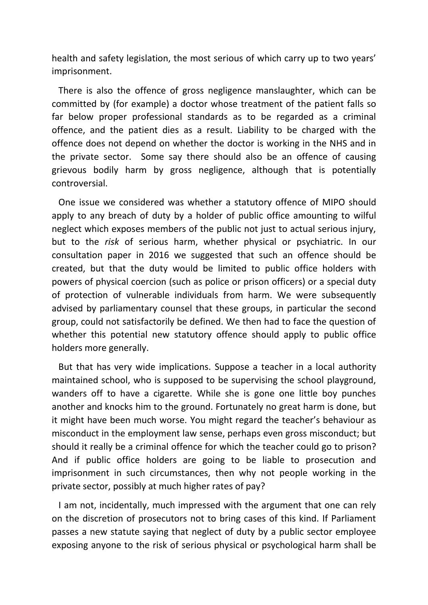health and safety legislation, the most serious of which carry up to two years' imprisonment.

 There is also the offence of gross negligence manslaughter, which can be committed by (for example) a doctor whose treatment of the patient falls so far below proper professional standards as to be regarded as a criminal offence, and the patient dies as a result. Liability to be charged with the offence does not depend on whether the doctor is working in the NHS and in the private sector. Some say there should also be an offence of causing grievous bodily harm by gross negligence, although that is potentially controversial.

 One issue we considered was whether a statutory offence of MIPO should apply to any breach of duty by a holder of public office amounting to wilful neglect which exposes members of the public not just to actual serious injury, but to the *risk* of serious harm, whether physical or psychiatric. In our consultation paper in 2016 we suggested that such an offence should be created, but that the duty would be limited to public office holders with powers of physical coercion (such as police or prison officers) or a special duty of protection of vulnerable individuals from harm. We were subsequently advised by parliamentary counsel that these groups, in particular the second group, could not satisfactorily be defined. We then had to face the question of whether this potential new statutory offence should apply to public office holders more generally.

 But that has very wide implications. Suppose a teacher in a local authority maintained school, who is supposed to be supervising the school playground, wanders off to have a cigarette. While she is gone one little boy punches another and knocks him to the ground. Fortunately no great harm is done, but it might have been much worse. You might regard the teacher's behaviour as misconduct in the employment law sense, perhaps even gross misconduct; but should it really be a criminal offence for which the teacher could go to prison? And if public office holders are going to be liable to prosecution and imprisonment in such circumstances, then why not people working in the private sector, possibly at much higher rates of pay?

 I am not, incidentally, much impressed with the argument that one can rely on the discretion of prosecutors not to bring cases of this kind. If Parliament passes a new statute saying that neglect of duty by a public sector employee exposing anyone to the risk of serious physical or psychological harm shall be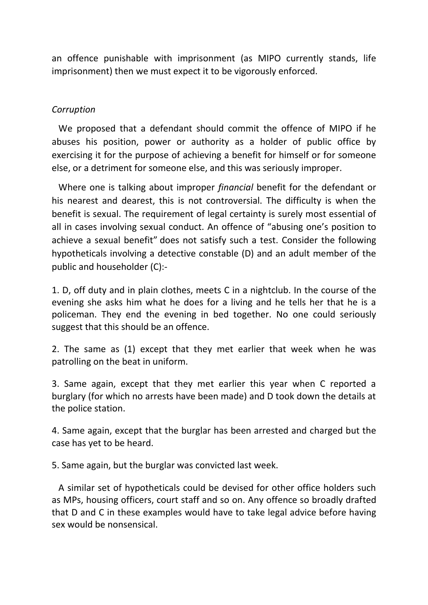an offence punishable with imprisonment (as MIPO currently stands, life imprisonment) then we must expect it to be vigorously enforced.

# *Corruption*

 We proposed that a defendant should commit the offence of MIPO if he abuses his position, power or authority as a holder of public office by exercising it for the purpose of achieving a benefit for himself or for someone else, or a detriment for someone else, and this was seriously improper.

 Where one is talking about improper *financial* benefit for the defendant or his nearest and dearest, this is not controversial. The difficulty is when the benefit is sexual. The requirement of legal certainty is surely most essential of all in cases involving sexual conduct. An offence of "abusing one's position to achieve a sexual benefit" does not satisfy such a test. Consider the following hypotheticals involving a detective constable (D) and an adult member of the public and householder (C):-

1. D, off duty and in plain clothes, meets C in a nightclub. In the course of the evening she asks him what he does for a living and he tells her that he is a policeman. They end the evening in bed together. No one could seriously suggest that this should be an offence.

2. The same as (1) except that they met earlier that week when he was patrolling on the beat in uniform.

3. Same again, except that they met earlier this year when C reported a burglary (for which no arrests have been made) and D took down the details at the police station.

4. Same again, except that the burglar has been arrested and charged but the case has yet to be heard.

5. Same again, but the burglar was convicted last week.

 A similar set of hypotheticals could be devised for other office holders such as MPs, housing officers, court staff and so on. Any offence so broadly drafted that D and C in these examples would have to take legal advice before having sex would be nonsensical.